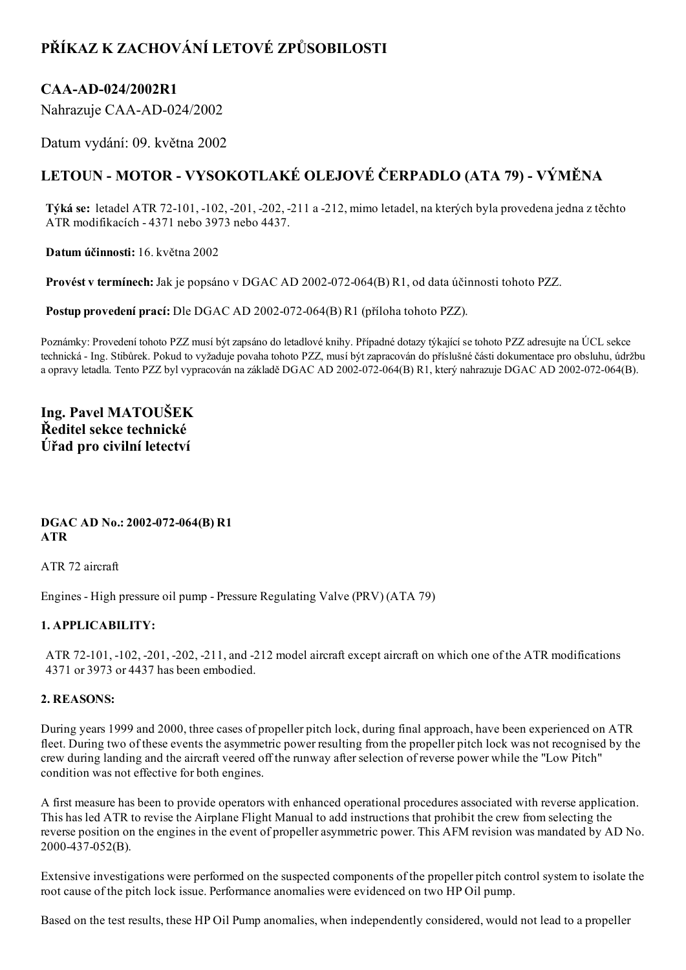# PŘÍKAZ K ZACHOVÁNÍ LETOVÉ ZPŮSOBILOSTI

## CAA-AD-024/2002R1

Nahrazuje CAA-AD-024/2002

Datum vydání: 09. května 2002

# LETOUN - MOTOR - VYSOKOTLAKÉ OLEJOVÉ ČERPADLO (ATA 79) - VÝMĚNA

Týká se: letadel ATR 72101, 102, 201, 202, 211 a 212, mimo letadel, na kterých byla provedena jedna z těchto ATR modifikacích 4371 nebo 3973 nebo 4437.

Datum účinnosti: 16. května 2002

Provést v termínech: Jak je popsáno v DGAC AD 2002-072-064(B) R1, od data účinnosti tohoto PZZ.

Postup provedení prací: Dle DGAC AD 2002-072-064(B) R1 (příloha tohoto PZZ).

Poznámky: Provedení tohoto PZZ musí být zapsáno do letadlové knihy. Případné dotazy týkající se tohoto PZZ adresujte na ÚCL sekce technická - Ing. Stibůrek. Pokud to vyžaduje povaha tohoto PZZ, musí být zapracován do příslušné části dokumentace pro obsluhu, údržbu a opravy letadla. Tento PZZ byl vypracován na základě DGAC AD 2002-072-064(B) R1, který nahrazuje DGAC AD 2002-072-064(B).

## Ing. Pavel MATOUŠEK Ředitel sekce technické Úřad pro civilní letectví

#### DGAC AD No.: 2002-072-064(B) R1 ATR

ATR 72 aircraft

Engines High pressure oil pump Pressure Regulating Valve (PRV) (ATA 79)

### 1. APPLICABILITY:

ATR 72-101, -102, -201, -202, -211, and -212 model aircraft except aircraft on which one of the ATR modifications 4371 or 3973 or 4437 has been embodied.

### 2. REASONS:

During years 1999 and 2000, three cases of propeller pitch lock, during final approach, have been experienced on ATR fleet. During two of these events the asymmetric power resulting from the propeller pitch lock was not recognised by the crew during landing and the aircraft veered off the runway afterselection of reverse power while the "Low Pitch" condition was not effective for both engines.

A first measure has been to provide operators with enhanced operational procedures associated with reverse application. This has led ATR to revise the Airplane Flight Manual to add instructions that prohibit the crew from selecting the reverse position on the engines in the event of propeller asymmetric power. This AFM revision was mandated by AD No. 2000-437-052(B).

Extensive investigations were performed on the suspected components of the propeller pitch control system to isolate the root cause of the pitch lock issue. Performance anomalies were evidenced on two HP Oil pump.

Based on the test results, these HP Oil Pump anomalies, when independently considered, would not lead to a propeller